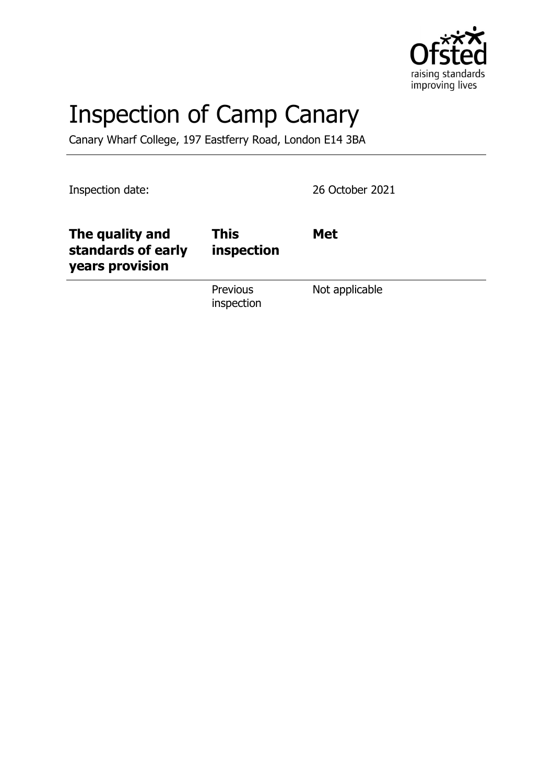

# Inspection of Camp Canary

Canary Wharf College, 197 Eastferry Road, London E14 3BA

Inspection date: 26 October 2021

| The quality and<br>standards of early<br>years provision | This<br>inspection     | <b>Met</b>     |
|----------------------------------------------------------|------------------------|----------------|
|                                                          | Previous<br>inspection | Not applicable |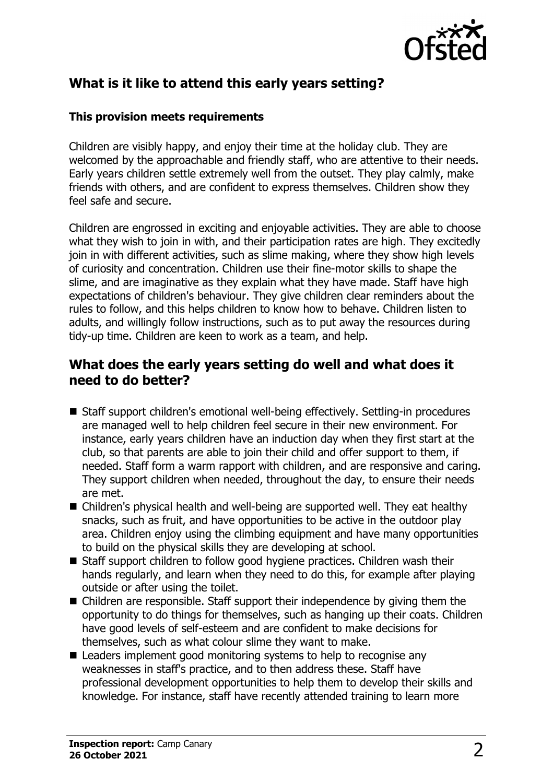

# **What is it like to attend this early years setting?**

#### **This provision meets requirements**

Children are visibly happy, and enjoy their time at the holiday club. They are welcomed by the approachable and friendly staff, who are attentive to their needs. Early years children settle extremely well from the outset. They play calmly, make friends with others, and are confident to express themselves. Children show they feel safe and secure.

Children are engrossed in exciting and enjoyable activities. They are able to choose what they wish to join in with, and their participation rates are high. They excitedly join in with different activities, such as slime making, where they show high levels of curiosity and concentration. Children use their fine-motor skills to shape the slime, and are imaginative as they explain what they have made. Staff have high expectations of children's behaviour. They give children clear reminders about the rules to follow, and this helps children to know how to behave. Children listen to adults, and willingly follow instructions, such as to put away the resources during tidy-up time. Children are keen to work as a team, and help.

## **What does the early years setting do well and what does it need to do better?**

- Staff support children's emotional well-being effectively. Settling-in procedures are managed well to help children feel secure in their new environment. For instance, early years children have an induction day when they first start at the club, so that parents are able to join their child and offer support to them, if needed. Staff form a warm rapport with children, and are responsive and caring. They support children when needed, throughout the day, to ensure their needs are met.
- Children's physical health and well-being are supported well. They eat healthy snacks, such as fruit, and have opportunities to be active in the outdoor play area. Children enjoy using the climbing equipment and have many opportunities to build on the physical skills they are developing at school.
- Staff support children to follow good hygiene practices. Children wash their hands regularly, and learn when they need to do this, for example after playing outside or after using the toilet.
- $\blacksquare$  Children are responsible. Staff support their independence by giving them the opportunity to do things for themselves, such as hanging up their coats. Children have good levels of self-esteem and are confident to make decisions for themselves, such as what colour slime they want to make.
- $\blacksquare$  Leaders implement good monitoring systems to help to recognise any weaknesses in staff's practice, and to then address these. Staff have professional development opportunities to help them to develop their skills and knowledge. For instance, staff have recently attended training to learn more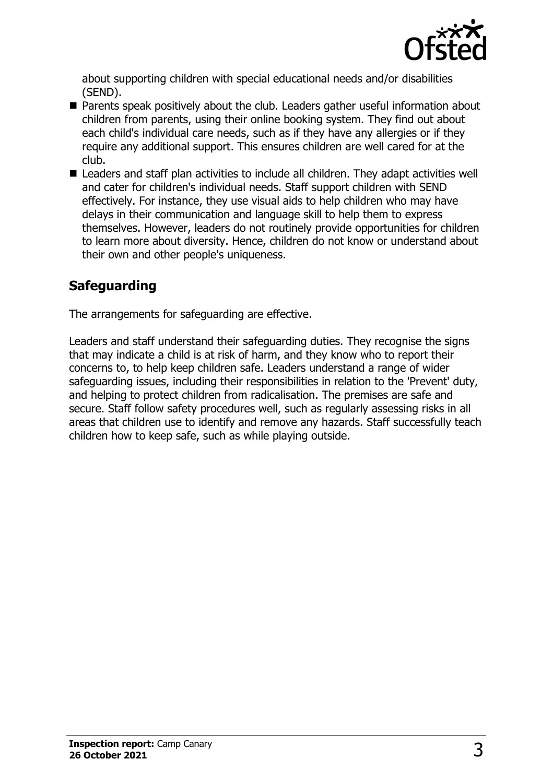

about supporting children with special educational needs and/or disabilities (SEND).

- $\blacksquare$  Parents speak positively about the club. Leaders gather useful information about children from parents, using their online booking system. They find out about each child's individual care needs, such as if they have any allergies or if they require any additional support. This ensures children are well cared for at the club.
- Leaders and staff plan activities to include all children. They adapt activities well and cater for children's individual needs. Staff support children with SEND effectively. For instance, they use visual aids to help children who may have delays in their communication and language skill to help them to express themselves. However, leaders do not routinely provide opportunities for children to learn more about diversity. Hence, children do not know or understand about their own and other people's uniqueness.

# **Safeguarding**

The arrangements for safeguarding are effective.

Leaders and staff understand their safeguarding duties. They recognise the signs that may indicate a child is at risk of harm, and they know who to report their concerns to, to help keep children safe. Leaders understand a range of wider safeguarding issues, including their responsibilities in relation to the 'Prevent' duty, and helping to protect children from radicalisation. The premises are safe and secure. Staff follow safety procedures well, such as regularly assessing risks in all areas that children use to identify and remove any hazards. Staff successfully teach children how to keep safe, such as while playing outside.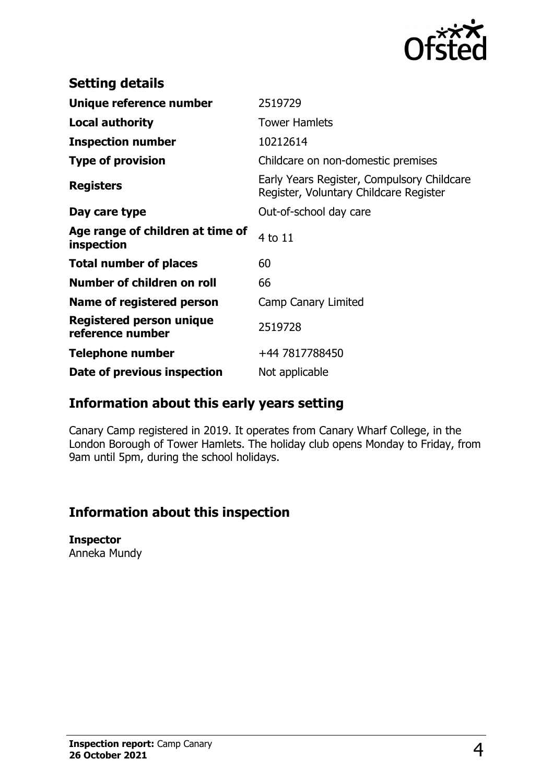

| <b>Setting details</b>                         |                                                                                      |
|------------------------------------------------|--------------------------------------------------------------------------------------|
| Unique reference number                        | 2519729                                                                              |
| <b>Local authority</b>                         | <b>Tower Hamlets</b>                                                                 |
| <b>Inspection number</b>                       | 10212614                                                                             |
| <b>Type of provision</b>                       | Childcare on non-domestic premises                                                   |
| <b>Registers</b>                               | Early Years Register, Compulsory Childcare<br>Register, Voluntary Childcare Register |
| Day care type                                  | Out-of-school day care                                                               |
| Age range of children at time of<br>inspection | 4 to 11                                                                              |
| <b>Total number of places</b>                  | 60                                                                                   |
| Number of children on roll                     | 66                                                                                   |
| Name of registered person                      | Camp Canary Limited                                                                  |
| Registered person unique<br>reference number   | 2519728                                                                              |
| Telephone number                               | +44 7817788450                                                                       |
| Date of previous inspection                    | Not applicable                                                                       |

## **Information about this early years setting**

Canary Camp registered in 2019. It operates from Canary Wharf College, in the London Borough of Tower Hamlets. The holiday club opens Monday to Friday, from 9am until 5pm, during the school holidays.

## **Information about this inspection**

### **Inspector**

Anneka Mundy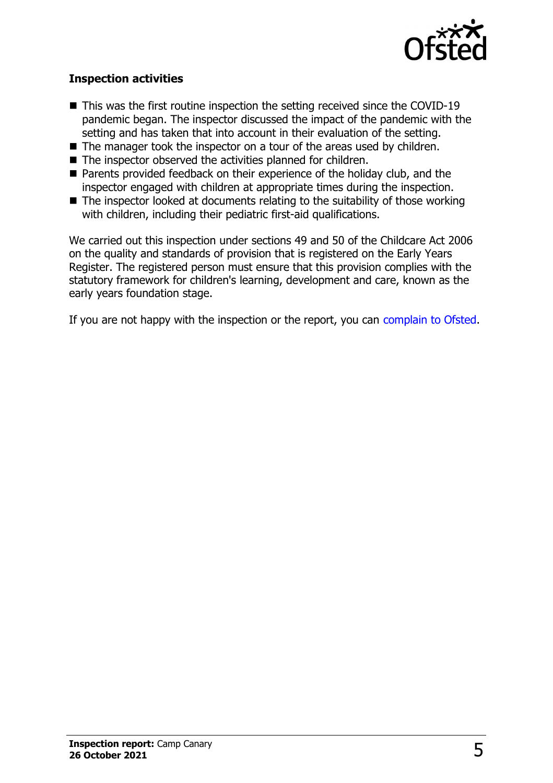

#### **Inspection activities**

- $\blacksquare$  This was the first routine inspection the setting received since the COVID-19 pandemic began. The inspector discussed the impact of the pandemic with the setting and has taken that into account in their evaluation of the setting.
- $\blacksquare$  The manager took the inspector on a tour of the areas used by children.
- $\blacksquare$  The inspector observed the activities planned for children.
- Parents provided feedback on their experience of the holiday club, and the inspector engaged with children at appropriate times during the inspection.
- $\blacksquare$  The inspector looked at documents relating to the suitability of those working with children, including their pediatric first-aid qualifications.

We carried out this inspection under sections 49 and 50 of the Childcare Act 2006 on the quality and standards of provision that is registered on the Early Years Register. The registered person must ensure that this provision complies with the statutory framework for children's learning, development and care, known as the early years foundation stage.

If you are not happy with the inspection or the report, you can [complain to Ofsted](http://www.gov.uk/complain-ofsted-report).